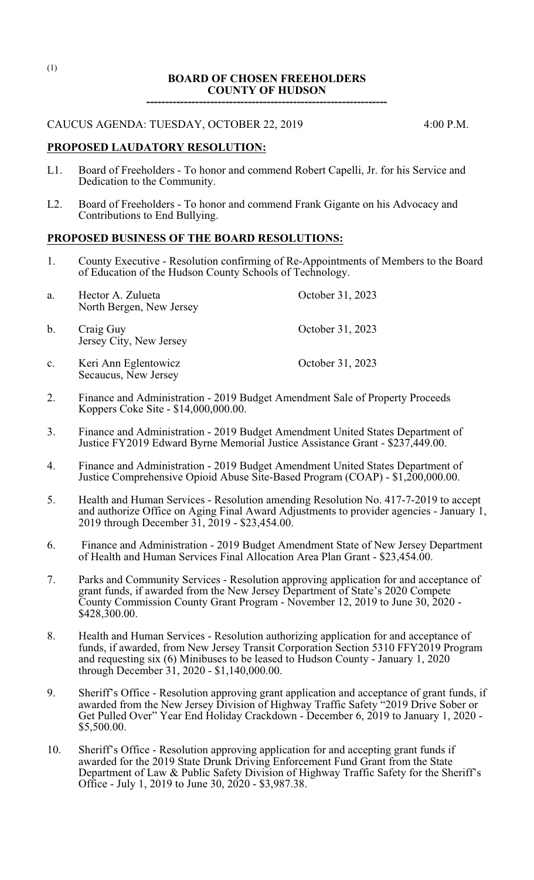### **BOARD OF CHOSEN FREEHOLDERS COUNTY OF HUDSON**

**----------------------------------------------------------------**

### CAUCUS AGENDA: TUESDAY, OCTOBER 22, 2019 4:00 P.M.

### **PROPOSED LAUDATORY RESOLUTION:**

- L1. Board of Freeholders To honor and commend Robert Capelli, Jr. for his Service and Dedication to the Community.
- L2. Board of Freeholders To honor and commend Frank Gigante on his Advocacy and Contributions to End Bullying.

## **PROPOSED BUSINESS OF THE BOARD RESOLUTIONS:**

1. County Executive - Resolution confirming of Re-Appointments of Members to the Board of Education of the Hudson County Schools of Technology.

| a.             | Hector A. Zulueta<br>North Bergen, New Jersey | October 31, 2023 |
|----------------|-----------------------------------------------|------------------|
| b.             | Craig Guy<br>Jersey City, New Jersey          | October 31, 2023 |
| $\mathbf{c}$ . | Keri Ann Eglentowicz<br>Secaucus, New Jersey  | October 31, 2023 |

- 2. Finance and Administration 2019 Budget Amendment Sale of Property Proceeds Koppers Coke Site - \$14,000,000.00.
- 3. Finance and Administration 2019 Budget Amendment United States Department of Justice FY2019 Edward Byrne Memorial Justice Assistance Grant - \$237,449.00.
- 4. Finance and Administration 2019 Budget Amendment United States Department of Justice Comprehensive Opioid Abuse Site-Based Program (COAP) - \$1,200,000.00.
- 5. Health and Human Services Resolution amending Resolution No. 417-7-2019 to accept and authorize Office on Aging Final Award Adjustments to provider agencies - January 1, 2019 through December 31, 2019 - \$23,454.00.
- 6. Finance and Administration 2019 Budget Amendment State of New Jersey Department of Health and Human Services Final Allocation Area Plan Grant - \$23,454.00.
- 7. Parks and Community Services Resolution approving application for and acceptance of grant funds, if awarded from the New Jersey Department of State's 2020 Compete County Commission County Grant Program - November 12, 2019 to June 30, 2020 - \$428,300.00.
- 8. Health and Human Services Resolution authorizing application for and acceptance of funds, if awarded, from New Jersey Transit Corporation Section 5310 FFY2019 Program and requesting six (6) Minibuses to be leased to Hudson County - January 1, 2020 through December 31, 2020 - \$1,140,000.00.
- 9. Sheriff's Office Resolution approving grant application and acceptance of grant funds, if awarded from the New Jersey Division of Highway Traffic Safety "2019 Drive Sober or Get Pulled Over" Year End Holiday Crackdown - December 6, 2019 to January 1, 2020 - \$5,500.00.
- 10. Sheriff's Office Resolution approving application for and accepting grant funds if awarded for the 2019 State Drunk Driving Enforcement Fund Grant from the State Department of Law & Public Safety Division of Highway Traffic Safety for the Sheriff's Office - July 1, 2019 to June 30, 2020 - \$3,987.38.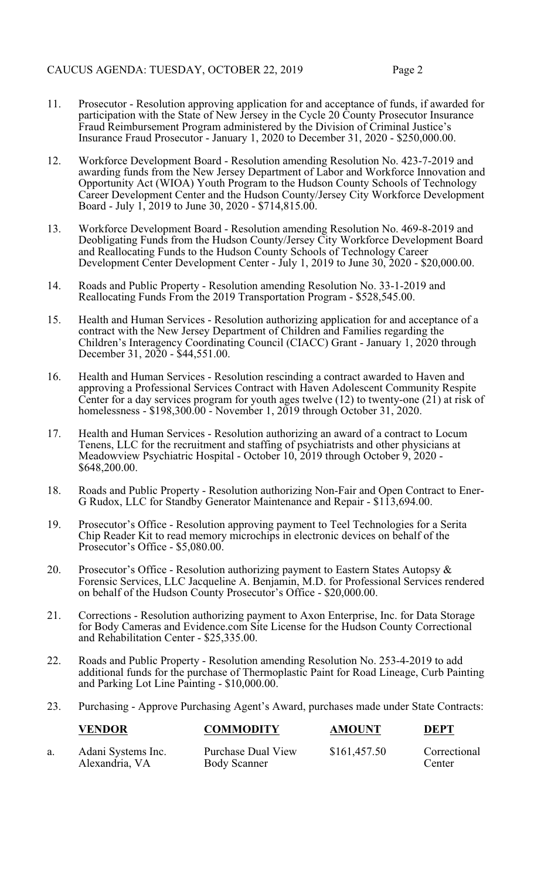- 11. Prosecutor Resolution approving application for and acceptance of funds, if awarded for participation with the State of New Jersey in the Cycle 20 County Prosecutor Insurance Fraud Reimbursement Program administered by the Division of Criminal Justice's Insurance Fraud Prosecutor - January 1, 2020 to December 31, 2020 - \$250,000.00.
- 12. Workforce Development Board Resolution amending Resolution No. 423-7-2019 and awarding funds from the New Jersey Department of Labor and Workforce Innovation and Opportunity Act (WIOA) Youth Program to the Hudson County Schools of Technology Career Development Center and the Hudson County/Jersey City Workforce Development Board - July 1, 2019 to June 30, 2020 - \$714,815.00.
- 13. Workforce Development Board Resolution amending Resolution No. 469-8-2019 and Deobligating Funds from the Hudson County/Jersey City Workforce Development Board and Reallocating Funds to the Hudson County Schools of Technology Career Development Center Development Center - July 1, 2019 to June 30, 2020 - \$20,000.00.
- 14. Roads and Public Property Resolution amending Resolution No. 33-1-2019 and Reallocating Funds From the 2019 Transportation Program - \$528,545.00.
- 15. Health and Human Services Resolution authorizing application for and acceptance of a contract with the New Jersey Department of Children and Families regarding the Children's Interagency Coordinating Council (CIACC) Grant - January 1, 2020 through December 31, 2020 - \$44,551.00.
- 16. Health and Human Services Resolution rescinding a contract awarded to Haven and approving a Professional Services Contract with Haven Adolescent Community Respite Center for a day services program for youth ages twelve (12) to twenty-one (21) at risk of homelessness - \$198,300.00 - November 1, 2019 through October 31, 2020.
- 17. Health and Human Services Resolution authorizing an award of a contract to Locum Tenens, LLC for the recruitment and staffing of psychiatrists and other physicians at Meadowview Psychiatric Hospital - October 10, 2019 through October 9, 2020 - \$648,200.00.
- 18. Roads and Public Property Resolution authorizing Non-Fair and Open Contract to Ener-G Rudox, LLC for Standby Generator Maintenance and Repair - \$113,694.00.
- 19. Prosecutor's Office Resolution approving payment to Teel Technologies for a Serita Chip Reader Kit to read memory microchips in electronic devices on behalf of the Prosecutor's Office - \$5,080.00.
- 20. Prosecutor's Office Resolution authorizing payment to Eastern States Autopsy & Forensic Services, LLC Jacqueline A. Benjamin, M.D. for Professional Services rendered on behalf of the Hudson County Prosecutor's Office - \$20,000.00.
- 21. Corrections Resolution authorizing payment to Axon Enterprise, Inc. for Data Storage for Body Cameras and Evidence.com Site License for the Hudson County Correctional and Rehabilitation Center - \$25,335.00.
- 22. Roads and Public Property Resolution amending Resolution No. 253-4-2019 to add additional funds for the purchase of Thermoplastic Paint for Road Lineage, Curb Painting and Parking Lot Line Painting - \$10,000.00.
- 23. Purchasing Approve Purchasing Agent's Award, purchases made under State Contracts:

| <b>VENDOR</b>                        | <b>COMMODITY</b>                          | <b>AMOUNT</b> | <b>DEPT</b>            |
|--------------------------------------|-------------------------------------------|---------------|------------------------|
| Adani Systems Inc.<br>Alexandria, VA | Purchase Dual View<br><b>Body Scanner</b> | \$161,457.50  | Correctional<br>Center |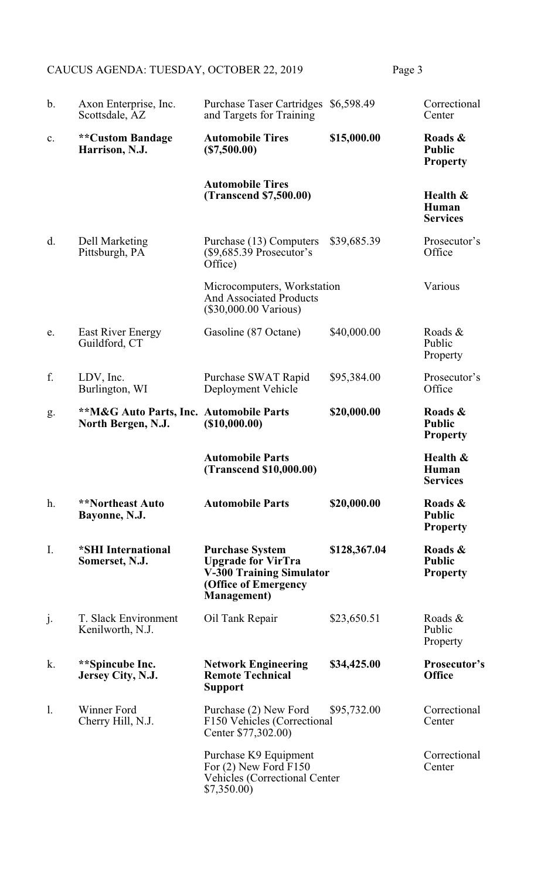# CAUCUS AGENDA: TUESDAY, OCTOBER 22, 2019 Page 3

| $\mathbf b$ . | Axon Enterprise, Inc.<br>Scottsdale, AZ                                  | <b>Purchase Taser Cartridges</b><br>and Targets for Training                                                                          | \$6,598.49   | Correctional<br>Center                      |
|---------------|--------------------------------------------------------------------------|---------------------------------------------------------------------------------------------------------------------------------------|--------------|---------------------------------------------|
| c.            | <b>**Custom Bandage</b><br>Harrison, N.J.                                | <b>Automobile Tires</b><br>(\$7,500.00)                                                                                               | \$15,000.00  | Roads &<br><b>Public</b><br><b>Property</b> |
|               |                                                                          | <b>Automobile Tires</b><br><b>(Transcend \$7,500.00)</b>                                                                              |              | Health &<br>Human<br><b>Services</b>        |
| d.            | Dell Marketing<br>Pittsburgh, PA                                         | Purchase (13) Computers<br>$(\$9,685.39$ Prosecutor's<br>Office)                                                                      | \$39,685.39  | Prosecutor's<br>Office                      |
|               |                                                                          | Microcomputers, Workstation<br><b>And Associated Products</b><br>$(\$30,000.00 \text{ Various})$                                      |              | Various                                     |
| e.            | <b>East River Energy</b><br>Guildford, CT                                | Gasoline (87 Octane)                                                                                                                  | \$40,000.00  | Roads &<br>Public<br>Property               |
| f.            | LDV, Inc.<br>Burlington, WI                                              | Purchase SWAT Rapid<br>Deployment Vehicle                                                                                             | \$95,384.00  | Prosecutor's<br>Office                      |
| g.            | <b>**M&amp;G Auto Parts, Inc. Automobile Parts</b><br>North Bergen, N.J. | (\$10,000.00)                                                                                                                         | \$20,000.00  | Roads &<br><b>Public</b><br><b>Property</b> |
|               |                                                                          |                                                                                                                                       |              |                                             |
|               |                                                                          | <b>Automobile Parts</b><br>(Transcend \$10,000.00)                                                                                    |              | Health &<br>Human<br><b>Services</b>        |
| h.            | <b>**Northeast Auto</b><br>Bayonne, N.J.                                 | <b>Automobile Parts</b>                                                                                                               | \$20,000.00  | Roads &<br><b>Public</b><br><b>Property</b> |
| I.            | *SHI International<br>Somerset, N.J.                                     | <b>Purchase System</b><br><b>Upgrade for VirTra</b><br><b>V-300 Training Simulator</b><br>(Office of Emergency<br><b>Management</b> ) | \$128,367.04 | Roads &<br><b>Public</b><br><b>Property</b> |
| j.            | T. Slack Environment<br>Kenilworth, N.J.                                 | Oil Tank Repair                                                                                                                       | \$23,650.51  | Roads &<br>Public<br>Property               |
| k.            | **Spincube Inc.<br>Jersey City, N.J.                                     | <b>Network Engineering</b><br><b>Remote Technical</b><br><b>Support</b>                                                               | \$34,425.00  | Prosecutor's<br><b>Office</b>               |
| 1.            | Winner Ford<br>Cherry Hill, N.J.                                         | Purchase (2) New Ford<br>F150 Vehicles (Correctional<br>Center \$77,302.00)                                                           | \$95,732.00  | Correctional<br>Center                      |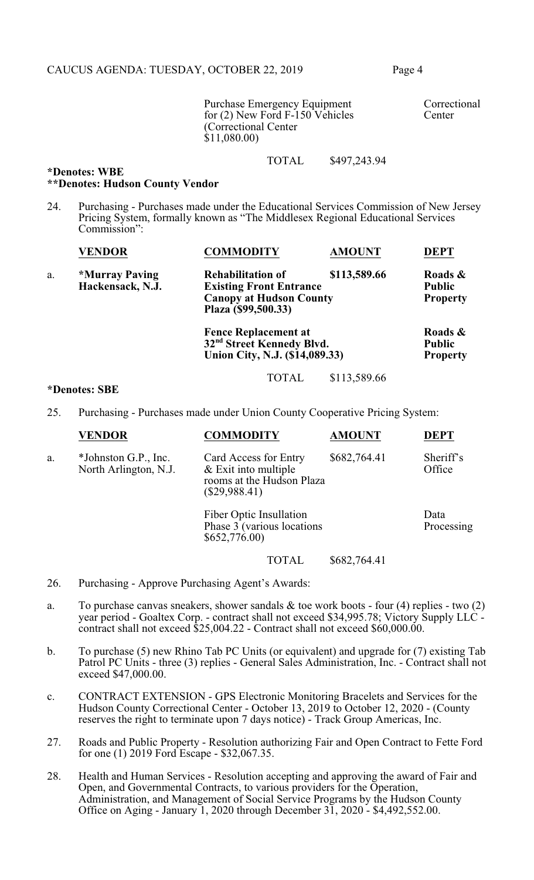Purchase Emergency Equipment Correctional<br>
for (2) New Ford F-150 Vehicles Center for  $(2)$  New Ford F-150 Vehicles (Correctional Center \$11,080.00)

TOTAL \$497,243.94

### **\*Denotes: WBE \*\*Denotes: Hudson County Vendor**

24. Purchasing - Purchases made under the Educational Services Commission of New Jersey Pricing System, formally known as "The Middlesex Regional Educational Services Commission":

|    | <b>VENDOR</b>                      | <b>COMMODITY</b>                                                                                                    | <b>AMOUNT</b> | <b>DEPT</b>                                 |
|----|------------------------------------|---------------------------------------------------------------------------------------------------------------------|---------------|---------------------------------------------|
| a. | *Murray Paving<br>Hackensack, N.J. | <b>Rehabilitation of</b><br><b>Existing Front Entrance</b><br><b>Canopy at Hudson County</b><br>Plaza (\$99,500.33) | \$113,589.66  | Roads &<br><b>Public</b><br><b>Property</b> |
|    |                                    | <b>Fence Replacement at</b><br>32 <sup>nd</sup> Street Kennedy Blvd.<br>Union City, N.J. (\$14,089.33)              |               | Roads &<br><b>Public</b><br><b>Property</b> |
|    |                                    | <b>TOTAL</b>                                                                                                        | \$113,589.66  |                                             |

#### **\*Denotes: SBE**

25. Purchasing - Purchases made under Union County Cooperative Pricing System:

|    | <b>VENDOR</b>                                 | <b>COMMODITY</b>                                                                                | <b>AMOUNT</b> | <b>DEPT</b>         |
|----|-----------------------------------------------|-------------------------------------------------------------------------------------------------|---------------|---------------------|
| a. | *Johnston G.P., Inc.<br>North Arlington, N.J. | Card Access for Entry<br>$&$ Exit into multiple<br>rooms at the Hudson Plaza<br>$(\$29,988.41)$ | \$682,764.41  | Sheriff's<br>Office |
|    |                                               | Fiber Optic Insullation<br>Phase $3$ (various locations<br>\$652,776.00)                        |               | Data<br>Processing  |
|    |                                               | <b>TOTAL</b>                                                                                    | \$682,764.41  |                     |

- 26. Purchasing Approve Purchasing Agent's Awards:
- a. To purchase canvas sneakers, shower sandals  $\&$  toe work boots four (4) replies two (2) year period - Goaltex Corp. - contract shall not exceed \$34,995.78; Victory Supply LLC contract shall not exceed  $$25,004.22$  - Contract shall not exceed \$60,000.00.
- b. To purchase (5) new Rhino Tab PC Units (or equivalent) and upgrade for (7) existing Tab Patrol PC Units - three (3) replies - General Sales Administration, Inc. - Contract shall not exceed \$47,000.00.
- c. CONTRACT EXTENSION GPS Electronic Monitoring Bracelets and Services for the Hudson County Correctional Center - October 13, 2019 to October 12, 2020 - (County reserves the right to terminate upon 7 days notice) - Track Group Americas, Inc.
- 27. Roads and Public Property Resolution authorizing Fair and Open Contract to Fette Ford for one (1) 2019 Ford Escape - \$32,067.35.
- 28. Health and Human Services Resolution accepting and approving the award of Fair and Open, and Governmental Contracts, to various providers for the Operation, Administration, and Management of Social Service Programs by the Hudson County Office on Aging - January 1, 2020 through December 31, 2020 - \$4,492,552.00.